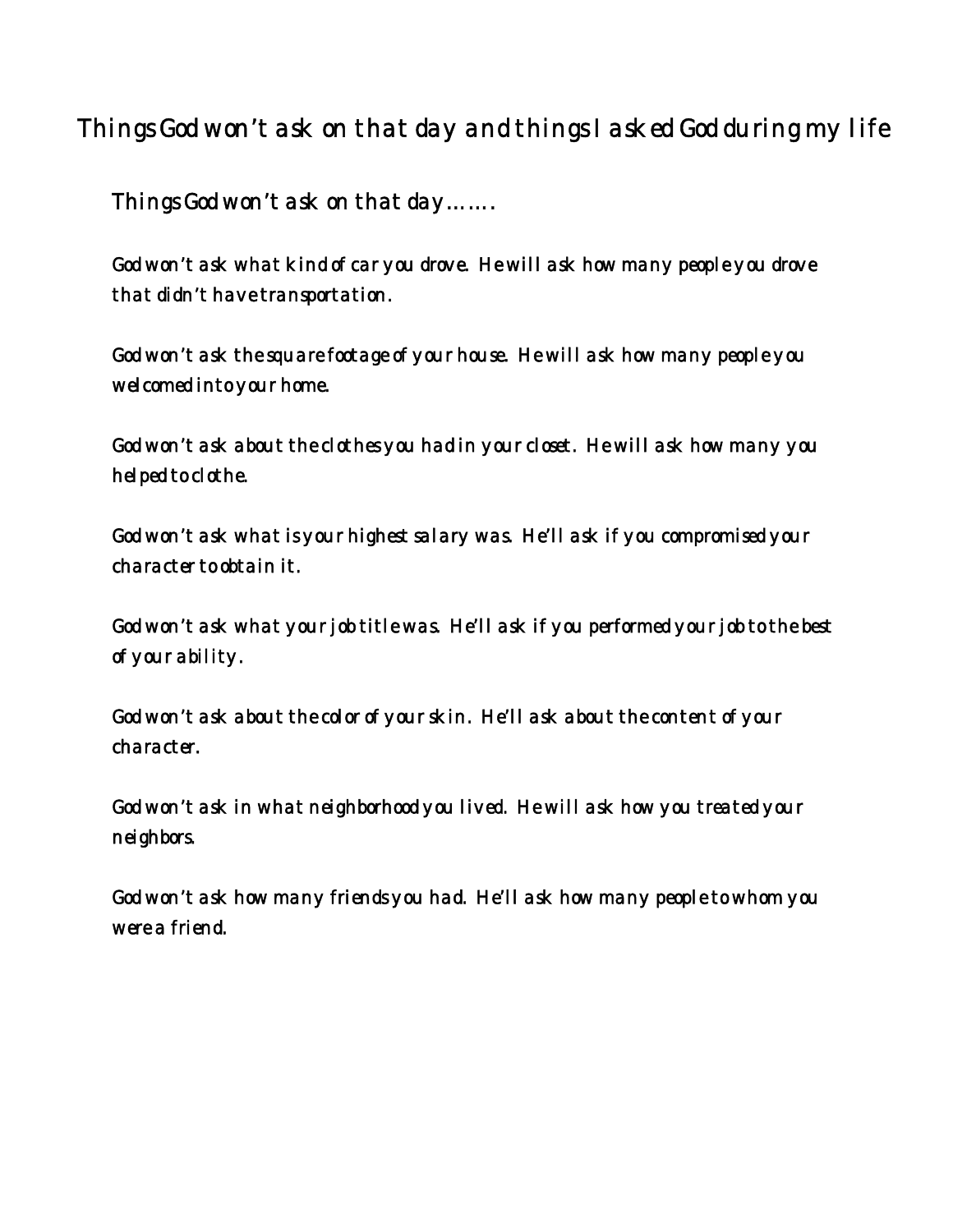## Things God won't ask on that day and things I asked God during my life

Things God won't ask on that day…….

God won't ask what kind of car you drove. He will ask how many people you drove that didn't have transportation.

God won't ask the square footage of your house. He will ask how many people you welcomed into your home.

God won't ask about the clothes you had in your closet. He will ask how many you helped to clothe.

God won't ask what is your highest salary was. He'll ask if you compromised your character to obtain it.

God won't ask what your job title was. He'll ask if you performed your job to the best of your ability.

God won't ask about the color of your skin. He'll ask about the content of your character.

God won't ask in what neighborhood you lived. He will ask how you treated your neighbors.

God won't ask how many friends you had. He'll ask how many people to whom you were a friend.